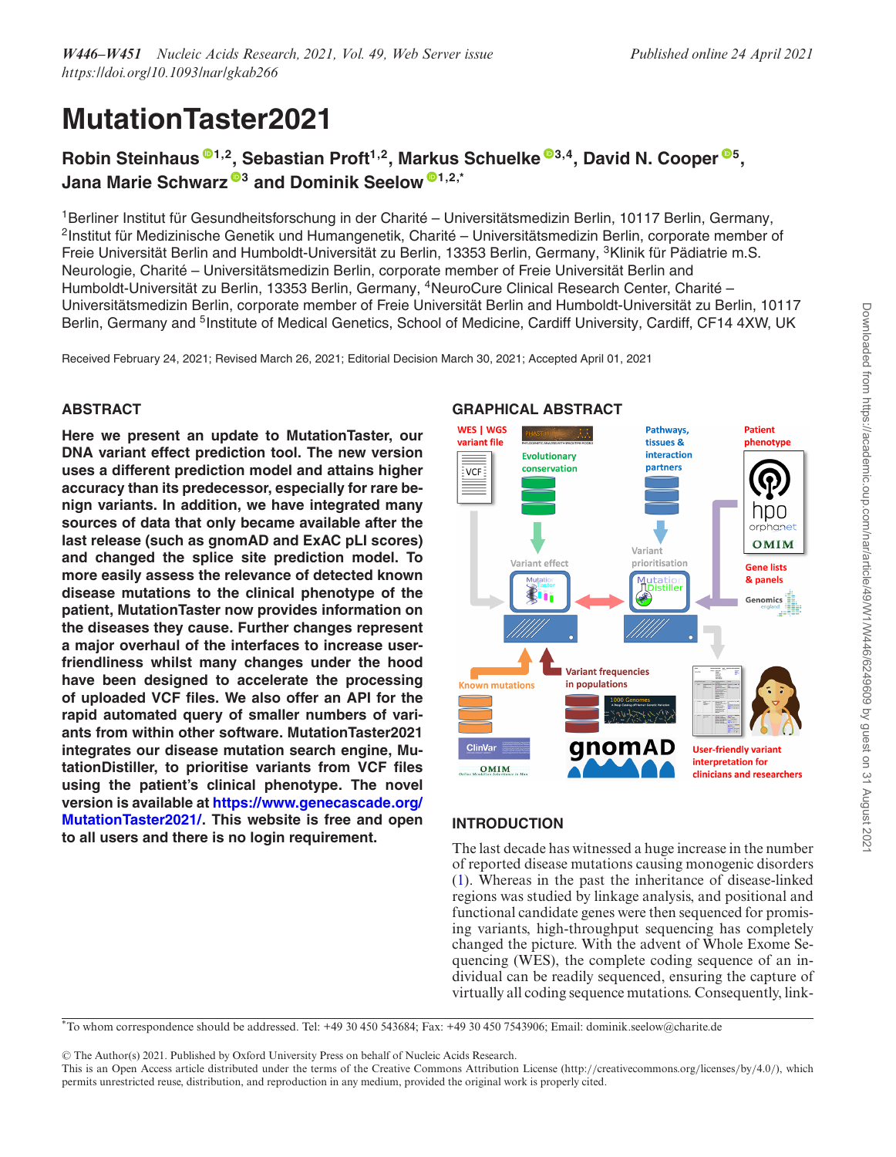# **MutationTaster2021**

# **Robin Steinhaus [1](http://orcid.org/0000-0001-6613-4675),2, Sebastian Proft1,2, Markus Schuelke [3](http://orcid.org/0000-0003-2824-3891),4, David N. Cooper [5](http://orcid.org/0000-0002-8943-8484), Jana Marie Schwarz [3](http://orcid.org/0000-0002-7048-208X) and Dominik Seelow [1](http://orcid.org/0000-0002-9746-4412),2,\***

 $1$ Berliner Institut für Gesundheitsforschung in der Charité – Universitätsmedizin Berlin, 10117 Berlin, Germany,  $2$ Institut für Medizinische Genetik und Humangenetik, Charité – Universitätsmedizin Berlin, corporate member of Freie Universität Berlin and Humboldt-Universität zu Berlin, 13353 Berlin, Germany, <sup>3</sup>Klinik für Pädiatrie m.S. Neurologie, Charité – Universitätsmedizin Berlin, corporate member of Freie Universität Berlin and Humboldt-Universität zu Berlin, 13353 Berlin, Germany, <sup>4</sup>NeuroCure Clinical Research Center, Charité – Universitätsmedizin Berlin, corporate member of Freie Universität Berlin and Humboldt-Universität zu Berlin, 10117 Berlin, Germany and <sup>5</sup>Institute of Medical Genetics, School of Medicine, Cardiff University, Cardiff, CF14 4XW, UK

Received February 24, 2021; Revised March 26, 2021; Editorial Decision March 30, 2021; Accepted April 01, 2021

# **ABSTRACT**

**Here we present an update to MutationTaster, our DNA variant effect prediction tool. The new version uses a different prediction model and attains higher accuracy than its predecessor, especially for rare benign variants. In addition, we have integrated many sources of data that only became available after the last release (such as gnomAD and ExAC pLI scores) and changed the splice site prediction model. To more easily assess the relevance of detected known disease mutations to the clinical phenotype of the patient, MutationTaster now provides information on the diseases they cause. Further changes represent a major overhaul of the interfaces to increase userfriendliness whilst many changes under the hood have been designed to accelerate the processing of uploaded VCF files. We also offer an API for the rapid automated query of smaller numbers of variants from within other software. MutationTaster2021 integrates our disease mutation search engine, MutationDistiller, to prioritise variants from VCF files using the patient's clinical phenotype. The novel version is available at https://www.genecascade.org/ [MutationTaster2021/. This website is free and open](https://www.genecascade.org/MutationTaster2021/) to all users and there is no login requirement.**



# **INTRODUCTION**

The last decade has witnessed a huge increase in the number of reported disease mutations causing monogenic disorders [\(1\)](#page-4-0). Whereas in the past the inheritance of disease-linked regions was studied by linkage analysis, and positional and functional candidate genes were then sequenced for promising variants, high-throughput sequencing has completely changed the picture. With the advent of Whole Exome Sequencing (WES), the complete coding sequence of an individual can be readily sequenced, ensuring the capture of virtually all coding sequence mutations. Consequently, link-

\*To whom correspondence should be addressed. Tel: +49 30 450 543684; Fax: +49 30 450 7543906; Email: dominik.seelow@charite.de

-<sup>C</sup> The Author(s) 2021. Published by Oxford University Press on behalf of Nucleic Acids Research.

This is an Open Access article distributed under the terms of the Creative Commons Attribution License (http://creativecommons.org/licenses/by/4.0/), which permits unrestricted reuse, distribution, and reproduction in any medium, provided the original work is properly cited.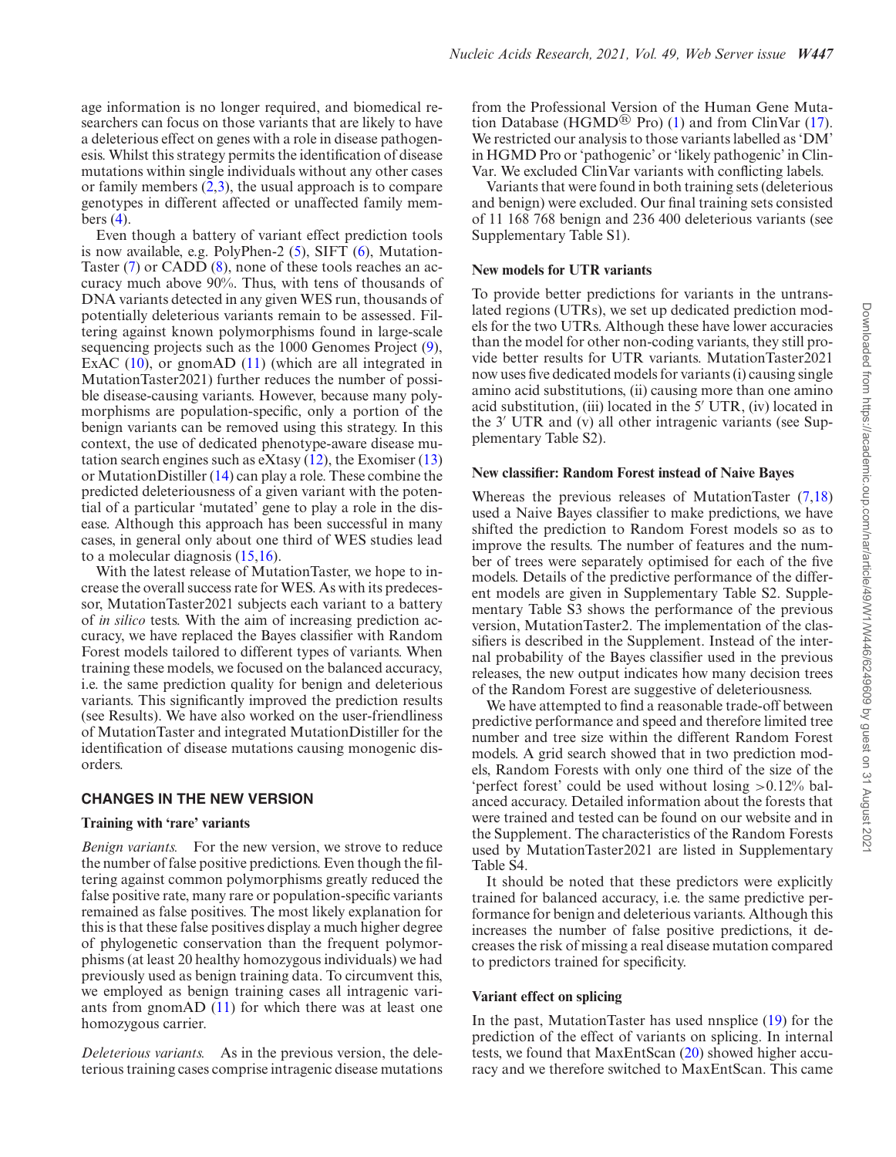age information is no longer required, and biomedical researchers can focus on those variants that are likely to have a deleterious effect on genes with a role in disease pathogenesis. Whilst this strategy permits the identification of disease mutations within single individuals without any other cases or family members  $(2,3)$ , the usual approach is to compare genotypes in different affected or unaffected family members  $(4)$ .

Even though a battery of variant effect prediction tools is now available, e.g. PolyPhen-2 [\(5\)](#page-4-0), SIFT [\(6\)](#page-4-0), Mutation-Taster [\(7\)](#page-4-0) or CADD [\(8\)](#page-4-0), none of these tools reaches an accuracy much above 90%. Thus, with tens of thousands of DNA variants detected in any given WES run, thousands of potentially deleterious variants remain to be assessed. Filtering against known polymorphisms found in large-scale sequencing projects such as the 1000 Genomes Project [\(9\)](#page-4-0), ExAC [\(10\)](#page-4-0), or gnomAD [\(11\)](#page-4-0) (which are all integrated in MutationTaster2021) further reduces the number of possible disease-causing variants. However, because many polymorphisms are population-specific, only a portion of the benign variants can be removed using this strategy. In this context, the use of dedicated phenotype-aware disease mutation search engines such as eXtasy  $(12)$ , the Exomiser  $(13)$ or MutationDistiller [\(14\)](#page-4-0) can play a role. These combine the predicted deleteriousness of a given variant with the potential of a particular 'mutated' gene to play a role in the disease. Although this approach has been successful in many cases, in general only about one third of WES studies lead to a molecular diagnosis [\(15,16\)](#page-4-0).

With the latest release of MutationTaster, we hope to increase the overall success rate for WES. As with its predecessor, MutationTaster2021 subjects each variant to a battery of *in silico* tests. With the aim of increasing prediction accuracy, we have replaced the Bayes classifier with Random Forest models tailored to different types of variants. When training these models, we focused on the balanced accuracy, i.e. the same prediction quality for benign and deleterious variants. This significantly improved the prediction results (see Results). We have also worked on the user-friendliness of MutationTaster and integrated MutationDistiller for the identification of disease mutations causing monogenic disorders.

# **CHANGES IN THE NEW VERSION**

# **Training with 'rare' variants**

*Benign variants.* For the new version, we strove to reduce the number of false positive predictions. Even though the filtering against common polymorphisms greatly reduced the false positive rate, many rare or population-specific variants remained as false positives. The most likely explanation for this is that these false positives display a much higher degree of phylogenetic conservation than the frequent polymorphisms (at least 20 healthy homozygous individuals) we had previously used as benign training data. To circumvent this, we employed as benign training cases all intragenic variants from gnomAD [\(11\)](#page-4-0) for which there was at least one homozygous carrier.

*Deleterious variants.* As in the previous version, the deleterious training cases comprise intragenic disease mutations from the Professional Version of the Human Gene Muta-tion Database (HGMD<sup>®</sup> Pro) [\(1\)](#page-4-0) and from ClinVar [\(17\)](#page-4-0). We restricted our analysis to those variants labelled as 'DM' in HGMD Pro or 'pathogenic' or 'likely pathogenic' in Clin-Var. We excluded ClinVar variants with conflicting labels.

Variants that were found in both training sets (deleterious and benign) were excluded. Our final training sets consisted of 11 168 768 benign and 236 400 deleterious variants (see Supplementary Table S1).

#### **New models for UTR variants**

To provide better predictions for variants in the untranslated regions (UTRs), we set up dedicated prediction models for the two UTRs. Although these have lower accuracies than the model for other non-coding variants, they still provide better results for UTR variants. MutationTaster2021 now uses five dedicated models for variants (i) causing single amino acid substitutions, (ii) causing more than one amino acid substitution, (iii) located in the  $5'$  UTR, (iv) located in the  $3'$  UTR and (v) all other intragenic variants (see Supplementary Table S2).

#### **New classifier: Random Forest instead of Naive Bayes**

Whereas the previous releases of MutationTaster [\(7,18\)](#page-4-0) used a Naive Bayes classifier to make predictions, we have shifted the prediction to Random Forest models so as to improve the results. The number of features and the number of trees were separately optimised for each of the five models. Details of the predictive performance of the different models are given in Supplementary Table S2. Supplementary Table S3 shows the performance of the previous version, MutationTaster2. The implementation of the classifiers is described in the Supplement. Instead of the internal probability of the Bayes classifier used in the previous releases, the new output indicates how many decision trees of the Random Forest are suggestive of deleteriousness.

We have attempted to find a reasonable trade-off between predictive performance and speed and therefore limited tree number and tree size within the different Random Forest models. A grid search showed that in two prediction models, Random Forests with only one third of the size of the 'perfect forest' could be used without losing >0.12% balanced accuracy. Detailed information about the forests that were trained and tested can be found on our website and in the Supplement. The characteristics of the Random Forests used by MutationTaster2021 are listed in Supplementary Table S4.

It should be noted that these predictors were explicitly trained for balanced accuracy, i.e. the same predictive performance for benign and deleterious variants. Although this increases the number of false positive predictions, it decreases the risk of missing a real disease mutation compared to predictors trained for specificity.

# **Variant effect on splicing**

In the past, MutationTaster has used nnsplice [\(19\)](#page-4-0) for the prediction of the effect of variants on splicing. In internal tests, we found that MaxEntScan [\(20\)](#page-4-0) showed higher accuracy and we therefore switched to MaxEntScan. This came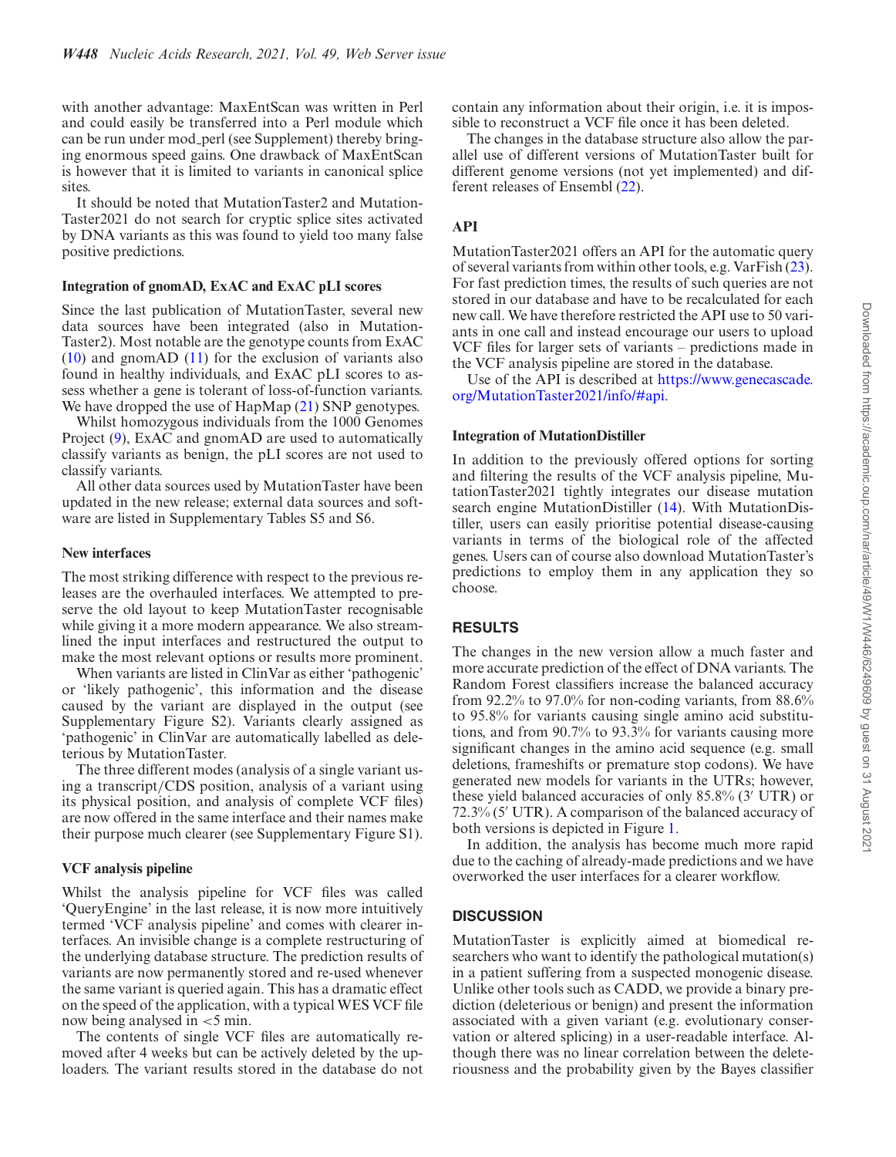with another advantage: MaxEntScan was written in Perl and could easily be transferred into a Perl module which can be run under mod perl (see Supplement) thereby bringing enormous speed gains. One drawback of MaxEntScan is however that it is limited to variants in canonical splice sites.

It should be noted that MutationTaster2 and Mutation-Taster2021 do not search for cryptic splice sites activated by DNA variants as this was found to yield too many false positive predictions.

#### **Integration of gnomAD, ExAC and ExAC pLI scores**

Since the last publication of MutationTaster, several new data sources have been integrated (also in Mutation-Taster2). Most notable are the genotype counts from ExAC  $(10)$  and gnomAD  $(11)$  for the exclusion of variants also found in healthy individuals, and ExAC pLI scores to assess whether a gene is tolerant of loss-of-function variants. We have dropped the use of HapMap [\(21\)](#page-5-0) SNP genotypes.

Whilst homozygous individuals from the 1000 Genomes Project [\(9\)](#page-4-0), ExAC and gnomAD are used to automatically classify variants as benign, the pLI scores are not used to classify variants.

All other data sources used by MutationTaster have been updated in the new release; external data sources and software are listed in Supplementary Tables S5 and S6.

#### **New interfaces**

The most striking difference with respect to the previous releases are the overhauled interfaces. We attempted to preserve the old layout to keep MutationTaster recognisable while giving it a more modern appearance. We also streamlined the input interfaces and restructured the output to make the most relevant options or results more prominent.

When variants are listed in ClinVar as either 'pathogenic' or 'likely pathogenic', this information and the disease caused by the variant are displayed in the output (see Supplementary Figure S2). Variants clearly assigned as 'pathogenic' in ClinVar are automatically labelled as deleterious by MutationTaster.

The three different modes (analysis of a single variant using a transcript/CDS position, analysis of a variant using its physical position, and analysis of complete VCF files) are now offered in the same interface and their names make their purpose much clearer (see Supplementary Figure S1).

#### **VCF analysis pipeline**

Whilst the analysis pipeline for VCF files was called 'QueryEngine' in the last release, it is now more intuitively termed 'VCF analysis pipeline' and comes with clearer interfaces. An invisible change is a complete restructuring of the underlying database structure. The prediction results of variants are now permanently stored and re-used whenever the same variant is queried again. This has a dramatic effect on the speed of the application, with a typical WES VCF file now being analysed in <5 min.

The contents of single VCF files are automatically removed after 4 weeks but can be actively deleted by the uploaders. The variant results stored in the database do not contain any information about their origin, i.e. it is impossible to reconstruct a VCF file once it has been deleted.

The changes in the database structure also allow the parallel use of different versions of MutationTaster built for different genome versions (not yet implemented) and different releases of Ensembl [\(22\)](#page-5-0).

# **API**

MutationTaster2021 offers an API for the automatic query of several variants from within other tools, e.g. VarFish [\(23\)](#page-5-0). For fast prediction times, the results of such queries are not stored in our database and have to be recalculated for each new call. We have therefore restricted the API use to 50 variants in one call and instead encourage our users to upload VCF files for larger sets of variants – predictions made in the VCF analysis pipeline are stored in the database.

Use of the API is described at https://www.genecascade. [org/MutationTaster2021/info/#api.](https://www.genecascade.org/MutationTaster2021/info/#api)

#### **Integration of MutationDistiller**

In addition to the previously offered options for sorting and filtering the results of the VCF analysis pipeline, MutationTaster2021 tightly integrates our disease mutation search engine MutationDistiller [\(14\)](#page-4-0). With MutationDistiller, users can easily prioritise potential disease-causing variants in terms of the biological role of the affected genes. Users can of course also download MutationTaster's predictions to employ them in any application they so choose.

#### **RESULTS**

The changes in the new version allow a much faster and more accurate prediction of the effect of DNA variants. The Random Forest classifiers increase the balanced accuracy from 92.2% to 97.0% for non-coding variants, from 88.6% to 95.8% for variants causing single amino acid substitutions, and from 90.7% to 93.3% for variants causing more significant changes in the amino acid sequence (e.g. small deletions, frameshifts or premature stop codons). We have generated new models for variants in the UTRs; however, these yield balanced accuracies of only  $85.8\%$  (3' UTR) or  $72.3\%$  (5' UTR). A comparison of the balanced accuracy of both versions is depicted in Figure [1.](#page-3-0)

In addition, the analysis has become much more rapid due to the caching of already-made predictions and we have overworked the user interfaces for a clearer workflow.

# **DISCUSSION**

MutationTaster is explicitly aimed at biomedical researchers who want to identify the pathological mutation(s) in a patient suffering from a suspected monogenic disease. Unlike other tools such as CADD, we provide a binary prediction (deleterious or benign) and present the information associated with a given variant (e.g. evolutionary conservation or altered splicing) in a user-readable interface. Although there was no linear correlation between the deleteriousness and the probability given by the Bayes classifier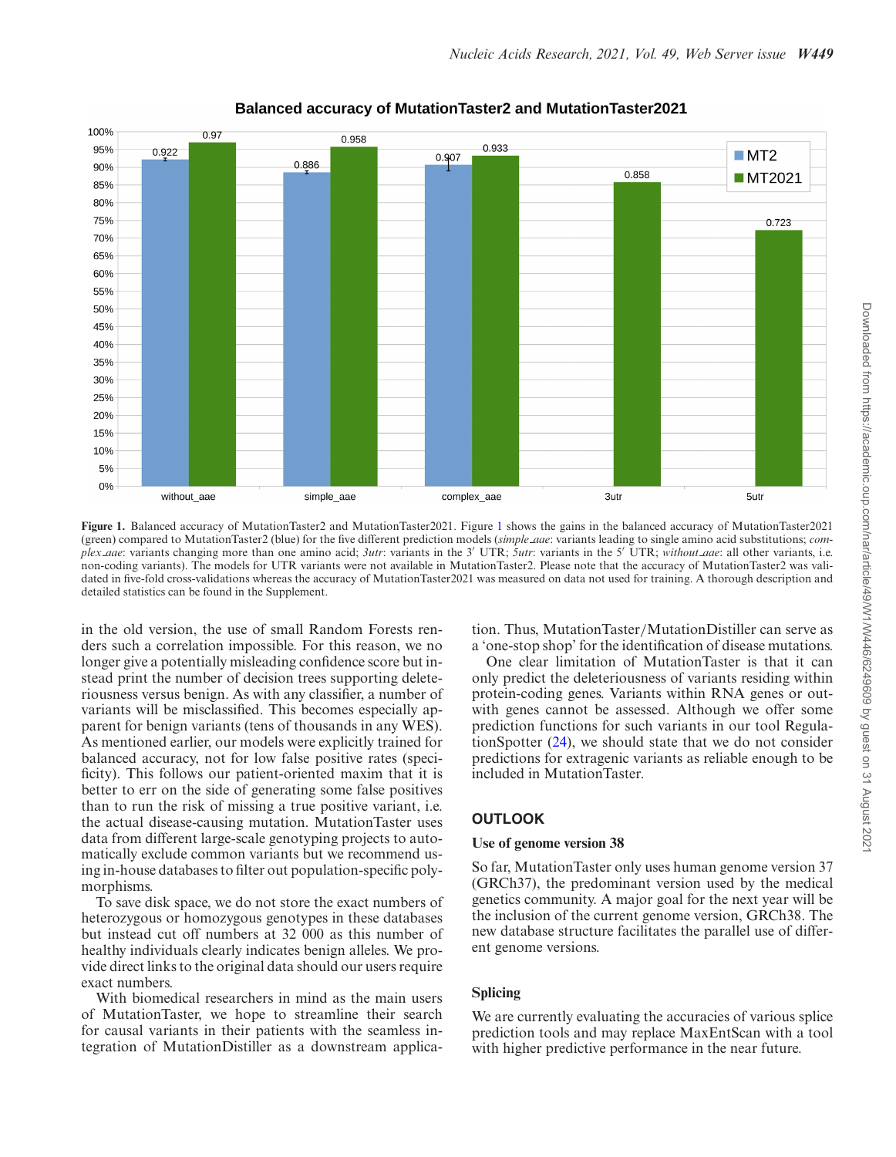<span id="page-3-0"></span>

# **Balanced accuracy of MutationTaster2 and MutationTaster2021**

**Figure 1.** Balanced accuracy of MutationTaster2 and MutationTaster2021. Figure 1 shows the gains in the balanced accuracy of MutationTaster2021 (green) compared to MutationTaster2 (blue) for the five different prediction models (*simple aae*: variants leading to single amino acid substitutions; *complex aae*: variants changing more than one amino acid; *3utr*: variants in the 3 UTR; *5utr*: variants in the 5 UTR; *without aae*: all other variants, i.e. non-coding variants). The models for UTR variants were not available in MutationTaster2. Please note that the accuracy of MutationTaster2 was validated in five-fold cross-validations whereas the accuracy of MutationTaster2021 was measured on data not used for training. A thorough description and detailed statistics can be found in the Supplement.

in the old version, the use of small Random Forests renders such a correlation impossible. For this reason, we no longer give a potentially misleading confidence score but instead print the number of decision trees supporting deleteriousness versus benign. As with any classifier, a number of variants will be misclassified. This becomes especially apparent for benign variants (tens of thousands in any WES). As mentioned earlier, our models were explicitly trained for balanced accuracy, not for low false positive rates (specificity). This follows our patient-oriented maxim that it is better to err on the side of generating some false positives than to run the risk of missing a true positive variant, i.e. the actual disease-causing mutation. MutationTaster uses data from different large-scale genotyping projects to automatically exclude common variants but we recommend using in-house databases to filter out population-specific polymorphisms.

To save disk space, we do not store the exact numbers of heterozygous or homozygous genotypes in these databases but instead cut off numbers at 32 000 as this number of healthy individuals clearly indicates benign alleles. We provide direct links to the original data should our users require exact numbers.

With biomedical researchers in mind as the main users of MutationTaster, we hope to streamline their search for causal variants in their patients with the seamless integration of MutationDistiller as a downstream application. Thus, MutationTaster/MutationDistiller can serve as a 'one-stop shop' for the identification of disease mutations.

One clear limitation of MutationTaster is that it can only predict the deleteriousness of variants residing within protein-coding genes. Variants within RNA genes or outwith genes cannot be assessed. Although we offer some prediction functions for such variants in our tool RegulationSpotter [\(24\)](#page-5-0), we should state that we do not consider predictions for extragenic variants as reliable enough to be included in MutationTaster.

# **OUTLOOK**

#### **Use of genome version 38**

So far, MutationTaster only uses human genome version 37 (GRCh37), the predominant version used by the medical genetics community. A major goal for the next year will be the inclusion of the current genome version, GRCh38. The new database structure facilitates the parallel use of different genome versions.

# **Splicing**

We are currently evaluating the accuracies of various splice prediction tools and may replace MaxEntScan with a tool with higher predictive performance in the near future.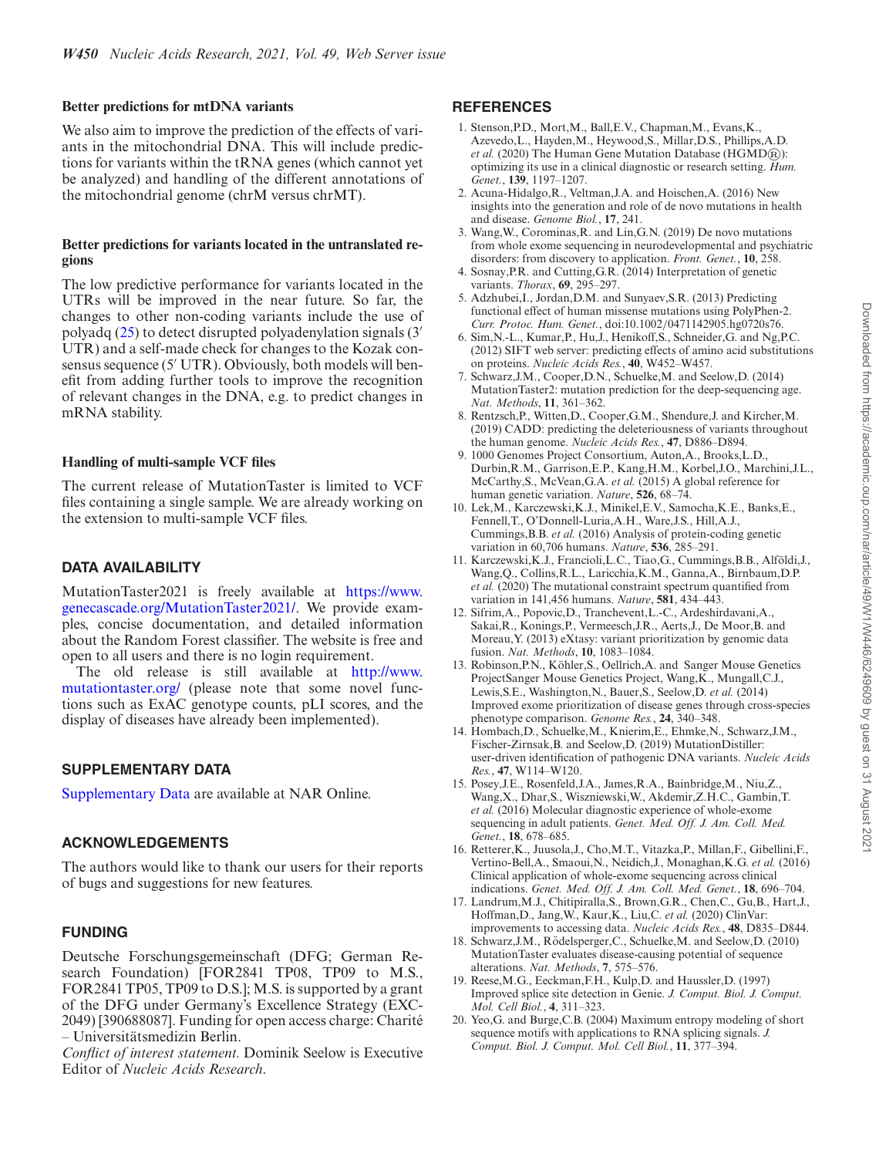#### <span id="page-4-0"></span>**Better predictions for mtDNA variants**

We also aim to improve the prediction of the effects of variants in the mitochondrial DNA. This will include predictions for variants within the tRNA genes (which cannot yet be analyzed) and handling of the different annotations of the mitochondrial genome (chrM versus chrMT).

#### **Better predictions for variants located in the untranslated regions**

The low predictive performance for variants located in the UTRs will be improved in the near future. So far, the changes to other non-coding variants include the use of polyadq [\(25\)](#page-5-0) to detect disrupted polyadenylation signals (3 UTR) and a self-made check for changes to the Kozak consensus sequence  $(5' UTR)$ . Obviously, both models will benefit from adding further tools to improve the recognition of relevant changes in the DNA, e.g. to predict changes in mRNA stability.

#### **Handling of multi-sample VCF files**

The current release of MutationTaster is limited to VCF files containing a single sample. We are already working on the extension to multi-sample VCF files.

# **DATA AVAILABILITY**

MutationTaster2021 is freely available at https://www. [genecascade.org/MutationTaster2021/. We provide exam](https://www.genecascade.org/MutationTaster2021/)ples, concise documentation, and detailed information about the Random Forest classifier. The website is free and open to all users and there is no login requirement.

[The old release is still available at](http://www.mutationtaster.org/) http://www. mutationtaster.org/ (please note that some novel functions such as ExAC genotype counts, pLI scores, and the display of diseases have already been implemented).

# **SUPPLEMENTARY DATA**

[Supplementary Data](https://academic.oup.com/nar/article-lookup/doi/10.1093/nar/gkab266#supplementary-data) are available at NAR Online.

# **ACKNOWLEDGEMENTS**

The authors would like to thank our users for their reports of bugs and suggestions for new features.

# **FUNDING**

Deutsche Forschungsgemeinschaft (DFG; German Research Foundation) [FOR2841 TP08, TP09 to M.S., FOR2841 TP05, TP09 to D.S.]; M.S. is supported by a grant of the DFG under Germany's Excellence Strategy (EXC-2049) [390688087]. Funding for open access charge: Charite´ – Universitatsmedizin Berlin. ¨

*Conflict of interest statement.* Dominik Seelow is Executive Editor of *Nucleic Acids Research*.

# **REFERENCES**

- 1. Stenson,P.D., Mort,M., Ball,E.V., Chapman,M., Evans,K., Azevedo,L., Hayden,M., Heywood,S., Millar,D.S., Phillips,A.D. *et al.* (2020) The Human Gene Mutation Database (HGMD®): optimizing its use in a clinical diagnostic or research setting. *Hum. Genet.*, **139**, 1197–1207.
- 2. Acuna-Hidalgo,R., Veltman,J.A. and Hoischen,A. (2016) New insights into the generation and role of de novo mutations in health and disease. *Genome Biol.*, **17**, 241.
- 3. Wang,W., Corominas,R. and Lin,G.N. (2019) De novo mutations from whole exome sequencing in neurodevelopmental and psychiatric disorders: from discovery to application. *Front. Genet.*, **10**, 258.
- 4. Sosnay,P.R. and Cutting,G.R. (2014) Interpretation of genetic variants. *Thorax*, **69**, 295–297.
- 5. Adzhubei,I., Jordan,D.M. and Sunyaev,S.R. (2013) Predicting functional effect of human missense mutations using PolyPhen-2. *Curr. Protoc. Hum. Genet.*, doi:10.1002/0471142905.hg0720s76.
- 6. Sim,N.-L., Kumar,P., Hu,J., Henikoff,S., Schneider,G. and Ng,P.C. (2012) SIFT web server: predicting effects of amino acid substitutions on proteins. *Nucleic Acids Res.*, **40**, W452–W457.
- 7. Schwarz,J.M., Cooper,D.N., Schuelke,M. and Seelow,D. (2014) MutationTaster2: mutation prediction for the deep-sequencing age. *Nat. Methods*, **11**, 361–362.
- 8. Rentzsch,P., Witten,D., Cooper,G.M., Shendure,J. and Kircher,M. (2019) CADD: predicting the deleteriousness of variants throughout the human genome. *Nucleic Acids Res.*, **47**, D886–D894.
- 9. 1000 Genomes Project Consortium, Auton,A., Brooks,L.D., Durbin,R.M., Garrison,E.P., Kang,H.M., Korbel,J.O., Marchini,J.L., McCarthy,S., McVean,G.A. *et al.* (2015) A global reference for human genetic variation. *Nature*, **526**, 68–74.
- 10. Lek,M., Karczewski,K.J., Minikel,E.V., Samocha,K.E., Banks,E., Fennell,T., O'Donnell-Luria,A.H., Ware,J.S., Hill,A.J., Cummings,B.B. *et al.* (2016) Analysis of protein-coding genetic variation in 60,706 humans. *Nature*, **536**, 285–291.
- 11. Karczewski,K.J., Francioli,L.C., Tiao,G., Cummings,B.B., Alfoldi,J., ¨ Wang,Q., Collins,R.L., Laricchia,K.M., Ganna,A., Birnbaum,D.P. *et al.* (2020) The mutational constraint spectrum quantified from variation in 141,456 humans. *Nature*, **581**, 434–443.
- 12. Sifrim,A., Popovic,D., Tranchevent,L.-C., Ardeshirdavani,A., Sakai,R., Konings,P., Vermeesch,J.R., Aerts,J., De Moor,B. and Moreau,Y. (2013) eXtasy: variant prioritization by genomic data fusion. *Nat. Methods*, **10**, 1083–1084.
- 13. Robinson, P.N., Köhler, S., Oellrich, A. and Sanger Mouse Genetics ProjectSanger Mouse Genetics Project, Wang,K., Mungall,C.J., Lewis, S.E., Washington, N., Bauer, S., Seelow, D. *et al.* (2014) Improved exome prioritization of disease genes through cross-species phenotype comparison. *Genome Res.*, **24**, 340–348.
- 14. Hombach,D., Schuelke,M., Knierim,E., Ehmke,N., Schwarz,J.M., Fischer-Zirnsak,B. and Seelow,D. (2019) MutationDistiller: user-driven identification of pathogenic DNA variants. *Nucleic Acids Res.*, **47**, W114–W120.
- 15. Posey,J.E., Rosenfeld,J.A., James,R.A., Bainbridge,M., Niu,Z., Wang,X., Dhar,S., Wiszniewski,W., Akdemir,Z.H.C., Gambin,T. *et al.* (2016) Molecular diagnostic experience of whole-exome sequencing in adult patients. *Genet. Med. Off. J. Am. Coll. Med. Genet.*, **18**, 678–685.
- 16. Retterer,K., Juusola,J., Cho,M.T., Vitazka,P., Millan,F., Gibellini,F., Vertino-Bell,A., Smaoui,N., Neidich,J., Monaghan,K.G. *et al.* (2016) Clinical application of whole-exome sequencing across clinical indications. *Genet. Med. Off. J. Am. Coll. Med. Genet.*, **18**, 696–704.
- 17. Landrum,M.J., Chitipiralla,S., Brown,G.R., Chen,C., Gu,B., Hart,J., Hoffman,D., Jang,W., Kaur,K., Liu,C. *et al.* (2020) ClinVar: improvements to accessing data. *Nucleic Acids Res.*, **48**, D835–D844.
- 18. Schwarz, J.M., Rödelsperger, C., Schuelke, M. and Seelow, D. (2010) MutationTaster evaluates disease-causing potential of sequence alterations. *Nat. Methods*, **7**, 575–576.
- 19. Reese,M.G., Eeckman,F.H., Kulp,D. and Haussler,D. (1997) Improved splice site detection in Genie. *J. Comput. Biol. J. Comput. Mol. Cell Biol.*, **4**, 311–323.
- 20. Yeo,G. and Burge,C.B. (2004) Maximum entropy modeling of short sequence motifs with applications to RNA splicing signals. *J. Comput. Biol. J. Comput. Mol. Cell Biol.*, **11**, 377–394.